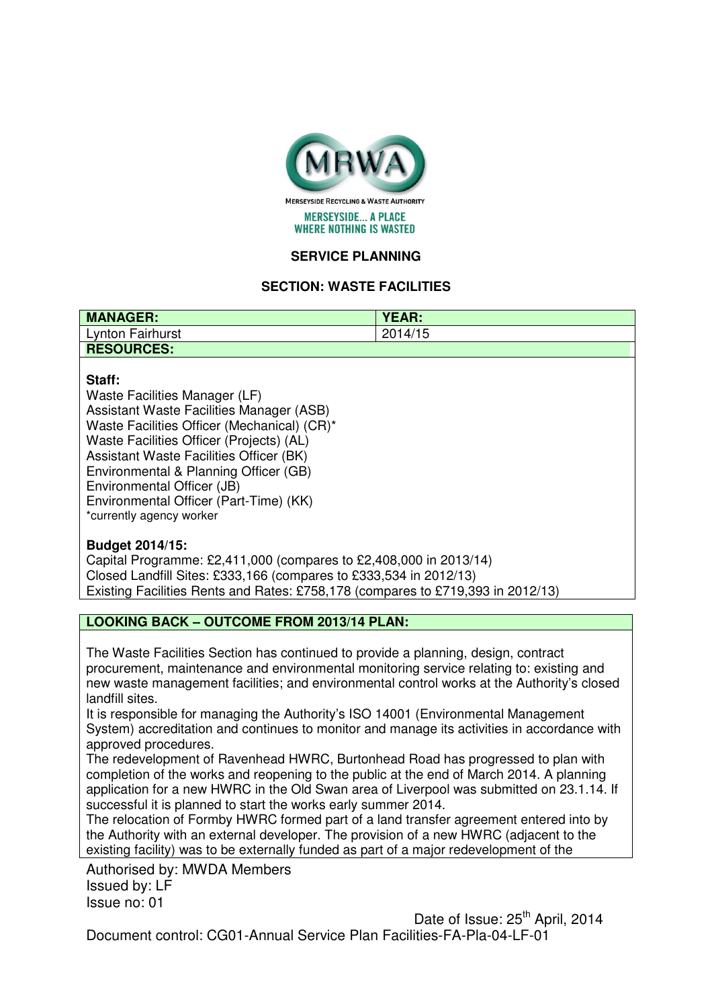

**MERSEYSIDE... A PLACE WHERE NOTHING IS WASTED** 

# **SERVICE PLANNING**

## **SECTION: WASTE FACILITIES**

| <b>MANAGER:</b>   | YEAR:   |
|-------------------|---------|
| Lynton Fairhurst  | 2014/15 |
| <b>RESOURCES:</b> |         |

#### **Staff:**

Waste Facilities Manager (LF) Assistant Waste Facilities Manager (ASB) Waste Facilities Officer (Mechanical) (CR)\* Waste Facilities Officer (Projects) (AL) Assistant Waste Facilities Officer (BK) Environmental & Planning Officer (GB) Environmental Officer (JB) Environmental Officer (Part-Time) (KK) \*currently agency worker

#### **Budget 2014/15:**

Capital Programme: £2,411,000 (compares to £2,408,000 in 2013/14) Closed Landfill Sites: £333,166 (compares to £333,534 in 2012/13) Existing Facilities Rents and Rates: £758,178 (compares to £719,393 in 2012/13)

### **LOOKING BACK – OUTCOME FROM 2013/14 PLAN:**

The Waste Facilities Section has continued to provide a planning, design, contract procurement, maintenance and environmental monitoring service relating to: existing and new waste management facilities; and environmental control works at the Authority's closed landfill sites.

It is responsible for managing the Authority's ISO 14001 (Environmental Management System) accreditation and continues to monitor and manage its activities in accordance with approved procedures.

The redevelopment of Ravenhead HWRC, Burtonhead Road has progressed to plan with completion of the works and reopening to the public at the end of March 2014. A planning application for a new HWRC in the Old Swan area of Liverpool was submitted on 23.1.14. If successful it is planned to start the works early summer 2014.

The relocation of Formby HWRC formed part of a land transfer agreement entered into by the Authority with an external developer. The provision of a new HWRC (adjacent to the existing facility) was to be externally funded as part of a major redevelopment of the

Authorised by: MWDA Members Issued by: LF Issue no: 01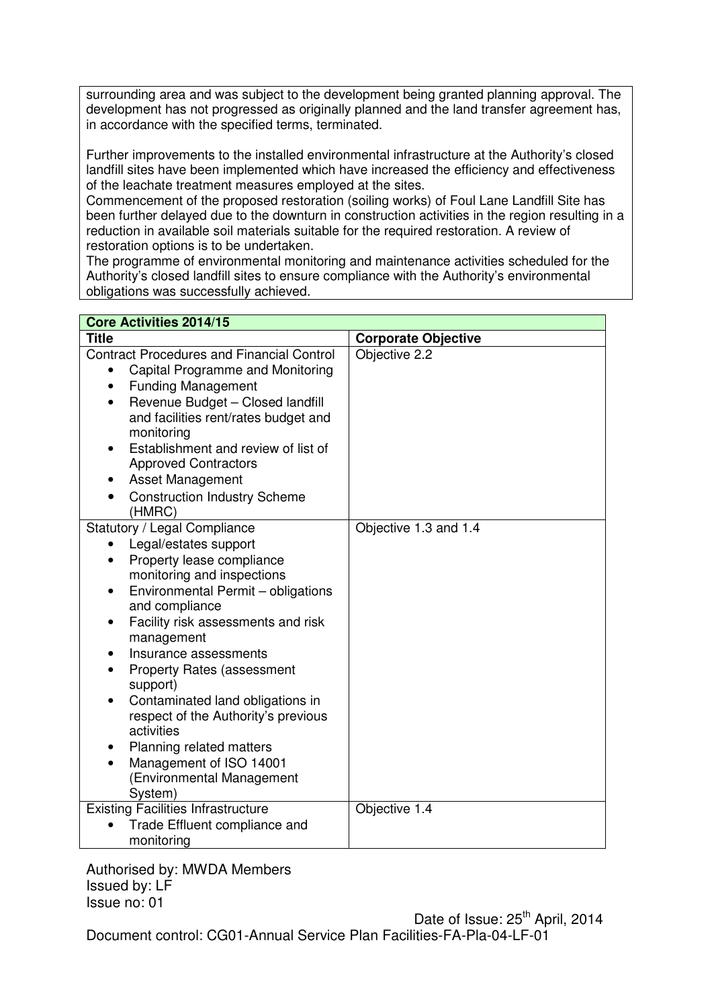surrounding area and was subject to the development being granted planning approval. The development has not progressed as originally planned and the land transfer agreement has, in accordance with the specified terms, terminated.

Further improvements to the installed environmental infrastructure at the Authority's closed landfill sites have been implemented which have increased the efficiency and effectiveness of the leachate treatment measures employed at the sites.

Commencement of the proposed restoration (soiling works) of Foul Lane Landfill Site has been further delayed due to the downturn in construction activities in the region resulting in a reduction in available soil materials suitable for the required restoration. A review of restoration options is to be undertaken.

The programme of environmental monitoring and maintenance activities scheduled for the Authority's closed landfill sites to ensure compliance with the Authority's environmental obligations was successfully achieved.

| <b>Core Activities 2014/15</b>                                                                                                                                                                                                                                                                                                                                                                                                                                                                                                        |                            |  |  |
|---------------------------------------------------------------------------------------------------------------------------------------------------------------------------------------------------------------------------------------------------------------------------------------------------------------------------------------------------------------------------------------------------------------------------------------------------------------------------------------------------------------------------------------|----------------------------|--|--|
| <b>Title</b>                                                                                                                                                                                                                                                                                                                                                                                                                                                                                                                          | <b>Corporate Objective</b> |  |  |
| <b>Contract Procedures and Financial Control</b><br>Capital Programme and Monitoring<br>$\bullet$<br><b>Funding Management</b><br>$\bullet$<br>Revenue Budget - Closed landfill<br>$\bullet$<br>and facilities rent/rates budget and<br>monitoring<br>Establishment and review of list of<br><b>Approved Contractors</b><br><b>Asset Management</b><br><b>Construction Industry Scheme</b><br>(HMRC)                                                                                                                                  | Objective 2.2              |  |  |
| Statutory / Legal Compliance<br>Legal/estates support<br>$\bullet$<br>Property lease compliance<br>$\bullet$<br>monitoring and inspections<br>Environmental Permit - obligations<br>$\bullet$<br>and compliance<br>Facility risk assessments and risk<br>management<br>Insurance assessments<br><b>Property Rates (assessment</b><br>support)<br>Contaminated land obligations in<br>respect of the Authority's previous<br>activities<br>Planning related matters<br>Management of ISO 14001<br>(Environmental Management<br>System) | Objective 1.3 and 1.4      |  |  |
| <b>Existing Facilities Infrastructure</b><br>Trade Effluent compliance and<br>monitoring                                                                                                                                                                                                                                                                                                                                                                                                                                              | Objective 1.4              |  |  |

Authorised by: MWDA Members Issued by: LF Issue no: 01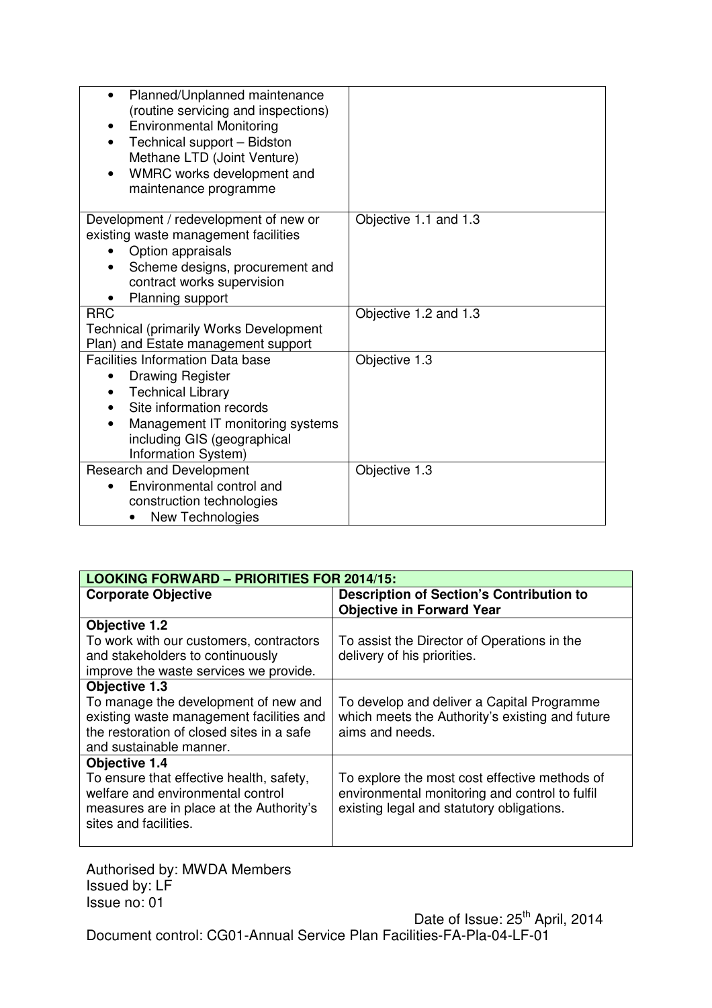| Planned/Unplanned maintenance<br>$\bullet$<br>(routine servicing and inspections)<br><b>Environmental Monitoring</b><br>Technical support - Bidston<br>$\bullet$<br>Methane LTD (Joint Venture)<br>WMRC works development and<br>maintenance programme |                       |
|--------------------------------------------------------------------------------------------------------------------------------------------------------------------------------------------------------------------------------------------------------|-----------------------|
| Development / redevelopment of new or<br>existing waste management facilities<br>Option appraisals<br>Scheme designs, procurement and<br>contract works supervision<br>Planning support                                                                | Objective 1.1 and 1.3 |
| <b>RRC</b><br><b>Technical (primarily Works Development</b>                                                                                                                                                                                            | Objective 1.2 and 1.3 |
| Plan) and Estate management support                                                                                                                                                                                                                    |                       |
| <b>Facilities Information Data base</b><br><b>Drawing Register</b><br><b>Technical Library</b><br>Site information records<br>Management IT monitoring systems<br>$\bullet$<br>including GIS (geographical<br>Information System)                      | Objective 1.3         |
| <b>Research and Development</b><br>Environmental control and<br>construction technologies<br>New Technologies                                                                                                                                          | Objective 1.3         |

| <b>LOOKING FORWARD - PRIORITIES FOR 2014/15:</b>                                                                                                         |                                                                                                                                              |  |  |
|----------------------------------------------------------------------------------------------------------------------------------------------------------|----------------------------------------------------------------------------------------------------------------------------------------------|--|--|
| <b>Corporate Objective</b>                                                                                                                               | <b>Description of Section's Contribution to</b><br><b>Objective in Forward Year</b>                                                          |  |  |
| <b>Objective 1.2</b>                                                                                                                                     |                                                                                                                                              |  |  |
| To work with our customers, contractors<br>and stakeholders to continuously<br>improve the waste services we provide.                                    | To assist the Director of Operations in the<br>delivery of his priorities.                                                                   |  |  |
| Objective 1.3                                                                                                                                            |                                                                                                                                              |  |  |
| To manage the development of new and<br>existing waste management facilities and<br>the restoration of closed sites in a safe<br>and sustainable manner. | To develop and deliver a Capital Programme<br>which meets the Authority's existing and future<br>aims and needs.                             |  |  |
| <b>Objective 1.4</b>                                                                                                                                     |                                                                                                                                              |  |  |
| To ensure that effective health, safety,<br>welfare and environmental control<br>measures are in place at the Authority's<br>sites and facilities.       | To explore the most cost effective methods of<br>environmental monitoring and control to fulfil<br>existing legal and statutory obligations. |  |  |

Authorised by: MWDA Members Issued by: LF Issue no: 01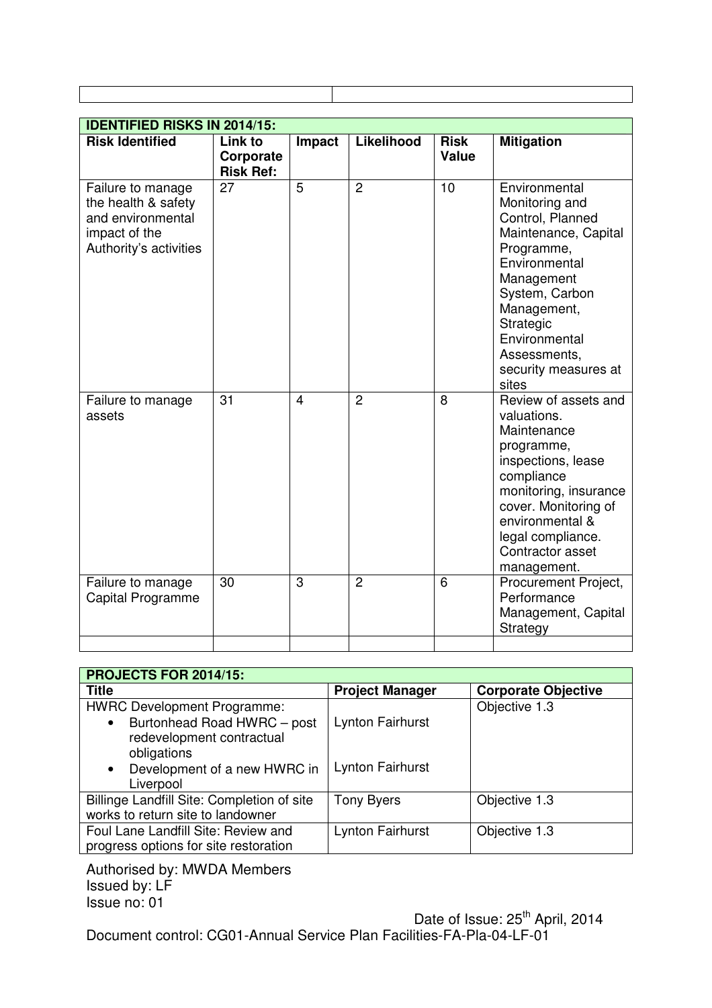| <b>IDENTIFIED RISKS IN 2014/15:</b>                                                                      |                                          |        |                |                             |                                                                                                                                                                                                                                          |
|----------------------------------------------------------------------------------------------------------|------------------------------------------|--------|----------------|-----------------------------|------------------------------------------------------------------------------------------------------------------------------------------------------------------------------------------------------------------------------------------|
| <b>Risk Identified</b>                                                                                   | Link to<br>Corporate<br><b>Risk Ref:</b> | Impact | Likelihood     | <b>Risk</b><br><b>Value</b> | <b>Mitigation</b>                                                                                                                                                                                                                        |
| Failure to manage<br>the health & safety<br>and environmental<br>impact of the<br>Authority's activities | 27                                       | 5      | $\overline{2}$ | 10                          | Environmental<br>Monitoring and<br>Control, Planned<br>Maintenance, Capital<br>Programme,<br>Environmental<br>Management<br>System, Carbon<br>Management,<br>Strategic<br>Environmental<br>Assessments,<br>security measures at<br>sites |
| Failure to manage<br>assets                                                                              | 31                                       | 4      | $\overline{2}$ | 8                           | Review of assets and<br>valuations.<br>Maintenance<br>programme,<br>inspections, lease<br>compliance<br>monitoring, insurance<br>cover. Monitoring of<br>environmental &<br>legal compliance.<br>Contractor asset<br>management.         |
| Failure to manage<br>Capital Programme                                                                   | 30                                       | 3      | $\overline{2}$ | 6                           | Procurement Project,<br>Performance<br>Management, Capital<br>Strategy                                                                                                                                                                   |
|                                                                                                          |                                          |        |                |                             |                                                                                                                                                                                                                                          |

| PROJECTS FOR 2014/15:                                                           |                         |                            |  |  |
|---------------------------------------------------------------------------------|-------------------------|----------------------------|--|--|
| <b>Title</b>                                                                    | <b>Project Manager</b>  | <b>Corporate Objective</b> |  |  |
| <b>HWRC Development Programme:</b>                                              |                         | Objective 1.3              |  |  |
| Burtonhead Road HWRC - post<br>redevelopment contractual<br>obligations         | <b>Lynton Fairhurst</b> |                            |  |  |
| Development of a new HWRC in<br>$\bullet$<br>Liverpool                          | <b>Lynton Fairhurst</b> |                            |  |  |
| Billinge Landfill Site: Completion of site<br>works to return site to landowner | <b>Tony Byers</b>       | Objective 1.3              |  |  |
| Foul Lane Landfill Site: Review and<br>progress options for site restoration    | <b>Lynton Fairhurst</b> | Objective 1.3              |  |  |

Authorised by: MWDA Members Issued by: LF Issue no: 01